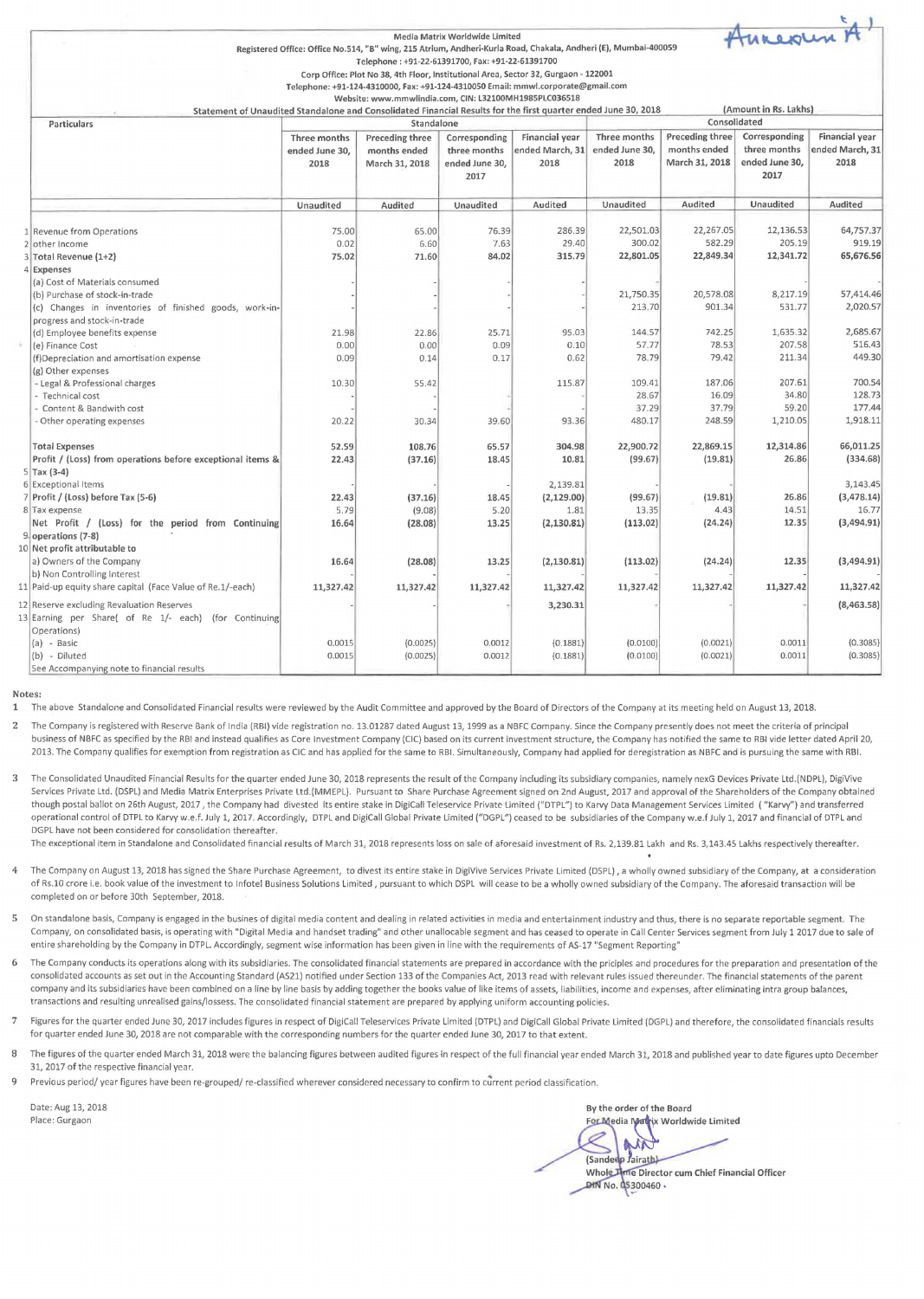|                                                                          |                                                                                                                                              |                                                                                                                                                                         | Media Matrix Worldwide Limited |                 |                                                                           |                     | Annexun A             |                     |
|--------------------------------------------------------------------------|----------------------------------------------------------------------------------------------------------------------------------------------|-------------------------------------------------------------------------------------------------------------------------------------------------------------------------|--------------------------------|-----------------|---------------------------------------------------------------------------|---------------------|-----------------------|---------------------|
|                                                                          |                                                                                                                                              | Registered Office: Office No.514, "B" wing, 215 Atrium, Andheri-Kurla Road, Chakala, Andheri (E), Mumbai-400059                                                         |                                |                 |                                                                           |                     |                       |                     |
|                                                                          |                                                                                                                                              | Telephone: +91-22-61391700, Fax: +91-22-61391700                                                                                                                        |                                |                 |                                                                           |                     |                       |                     |
|                                                                          |                                                                                                                                              | Corp Office: Plot No 38, 4th Floor, Institutional Area, Sector 32, Gurgaon - 122001<br>Telephone: +91-124-4310000, Fax: +91-124-4310050 Email: mmwl.corporate@gmail.com |                                |                 |                                                                           |                     |                       |                     |
|                                                                          |                                                                                                                                              | Website: www.mmwlindia.com, CIN: L32100MH1985PLC036518                                                                                                                  |                                |                 |                                                                           |                     |                       |                     |
|                                                                          |                                                                                                                                              |                                                                                                                                                                         |                                |                 |                                                                           |                     | (Amount in Rs. Lakhs) |                     |
| Particulars                                                              | Statement of Unaudited Standalone and Consolidated Financial Results for the first quarter ended June 30, 2018<br>Consolidated<br>Standalone |                                                                                                                                                                         |                                |                 |                                                                           |                     |                       |                     |
|                                                                          | Financial year<br>Three months<br><b>Preceding three</b><br>Corresponding                                                                    |                                                                                                                                                                         |                                |                 | Three months<br>Preceding three<br>Corresponding<br><b>Financial year</b> |                     |                       |                     |
|                                                                          | ended June 30,                                                                                                                               | months ended                                                                                                                                                            | three months                   | ended March, 31 | ended June 30,                                                            | months ended        | three months          | ended March, 31     |
|                                                                          | 2018                                                                                                                                         | March 31, 2018                                                                                                                                                          | ended June 30,                 | 2018            | 2018                                                                      | March 31, 2018      | ended June 30,        | 2018                |
|                                                                          |                                                                                                                                              |                                                                                                                                                                         | 2017                           |                 |                                                                           |                     | 2017                  |                     |
|                                                                          |                                                                                                                                              |                                                                                                                                                                         |                                |                 |                                                                           |                     |                       |                     |
|                                                                          | Unaudited                                                                                                                                    | Audited                                                                                                                                                                 | Unaudited                      | Audited         | Unaudited                                                                 | Audited             | Unaudited             | Audited             |
|                                                                          |                                                                                                                                              |                                                                                                                                                                         |                                |                 |                                                                           |                     |                       |                     |
| 1 Revenue from Operations                                                | 75.00                                                                                                                                        | 65.00                                                                                                                                                                   | 76.39                          | 286.39          | 22,501.03                                                                 | 22,267.05           | 12,136.53             | 64,757.37           |
| 2 other Income                                                           | 0.02<br>75.02                                                                                                                                | 6.60                                                                                                                                                                    | 7.63<br>84.02                  | 29.40<br>315.79 | 300.02<br>22,801.05                                                       | 582.29<br>22,849.34 | 205.19<br>12,341.72   | 919.19<br>65,676.56 |
| 3 Total Revenue (1+2)                                                    |                                                                                                                                              | 71.60                                                                                                                                                                   |                                |                 |                                                                           |                     |                       |                     |
| 4 Expenses<br>(a) Cost of Materials consumed                             |                                                                                                                                              |                                                                                                                                                                         |                                |                 |                                                                           |                     |                       |                     |
| (b) Purchase of stock-in-trade                                           |                                                                                                                                              |                                                                                                                                                                         |                                |                 | 21,750.35                                                                 | 20,578.08           | 8,217.19              | 57,414.46           |
| (c) Changes in inventories of finished goods, work-in-                   |                                                                                                                                              |                                                                                                                                                                         |                                |                 | 213.70                                                                    | 901.34              | 531.77                | 2,020.57            |
| progress and stock-in-trade                                              |                                                                                                                                              |                                                                                                                                                                         |                                |                 |                                                                           |                     |                       |                     |
| (d) Employee benefits expense                                            | 21.98                                                                                                                                        | 22.86                                                                                                                                                                   | 25.71                          | 95.03           | 144.57                                                                    | 742.25              | 1,635.32              | 2,685.67            |
| (e) Finance Cost                                                         | 0.00                                                                                                                                         | 0.00                                                                                                                                                                    | 0.09                           | 0.10            | 57.77                                                                     | 78.53               | 207.58                | 516.43              |
| (f)Depreciation and amortisation expense                                 | 0.09                                                                                                                                         | 0.14                                                                                                                                                                    | 0.17                           | 0.62            | 78.79                                                                     | 79.42               | 211.34                | 449.30              |
| (g) Other expenses                                                       |                                                                                                                                              |                                                                                                                                                                         |                                |                 |                                                                           |                     |                       |                     |
| - Legal & Professional charges                                           | 10.30                                                                                                                                        | 55.42                                                                                                                                                                   |                                | 115.87          | 109.41                                                                    | 187.06              | 207.61                | 700.54              |
| - Technical cost                                                         |                                                                                                                                              |                                                                                                                                                                         |                                |                 | 28.67                                                                     | 16.09               | 34.80                 | 128.73              |
| - Content & Bandwith cost                                                |                                                                                                                                              |                                                                                                                                                                         |                                |                 | 37.29                                                                     | 37.79               | 59.20                 | 177.44              |
| - Other operating expenses                                               | 20.22                                                                                                                                        | 30.34                                                                                                                                                                   | 39.60                          | 93.36           | 480.17                                                                    | 248.59              | 1,210.05              | 1,918.11            |
| <b>Total Expenses</b>                                                    | 52.59                                                                                                                                        | 108.76                                                                                                                                                                  | 65.57                          | 304.98          | 22,900.72                                                                 | 22,869.15           | 12,314.86             | 66,011.25           |
| Profit / (Loss) from operations before exceptional items &               | 22.43                                                                                                                                        | (37.16)                                                                                                                                                                 | 18.45                          | 10.81           | (99.67)                                                                   | (19.81)             | 26.86                 | (334.68)            |
| $5$ Tax (3-4)                                                            |                                                                                                                                              |                                                                                                                                                                         |                                |                 |                                                                           |                     |                       |                     |
| 6 Exceptional Items                                                      |                                                                                                                                              |                                                                                                                                                                         |                                | 2,139.81        |                                                                           |                     |                       | 3,143.45            |
| 7 Profit / (Loss) before Tax (5-6)                                       | 22.43                                                                                                                                        | (37.16)                                                                                                                                                                 | 18.45                          | (2, 129.00)     | (99.67)                                                                   | (19.81)             | 26.86                 | (3,478.14)          |
| 8 Tax expense                                                            | 5.79                                                                                                                                         | (9.08)                                                                                                                                                                  | 5.20                           | 1.81            | 13.35                                                                     | 4.43                | 14.51                 | 16.77<br>(3,494.91) |
| Net Profit / (Loss) for the period from Continuing<br>9 operations (7-8) | 16.64                                                                                                                                        | (28.08)                                                                                                                                                                 | 13.25                          | (2, 130.81)     | (113.02)                                                                  | (24.24)             | 12.35                 |                     |
| 10 Net profit attributable to                                            |                                                                                                                                              |                                                                                                                                                                         |                                |                 |                                                                           |                     |                       |                     |
| a) Owners of the Company                                                 | 16.64                                                                                                                                        | (28.08)                                                                                                                                                                 | 13.25                          | (2, 130.81)     | (113.02)                                                                  | (24.24)             | 12.35                 | (3,494.91)          |
| b) Non Controlling Interest                                              |                                                                                                                                              |                                                                                                                                                                         |                                |                 |                                                                           |                     |                       |                     |
| 11 Paid-up equity share capital (Face Value of Re.1/-each)               | 11,327.42                                                                                                                                    | 11,327.42                                                                                                                                                               | 11,327.42                      | 11,327.42       | 11,327.42                                                                 | 11,327.42           | 11,327.42             | 11,327.42           |
| 12 Reserve excluding Revaluation Reserves                                |                                                                                                                                              |                                                                                                                                                                         |                                | 3,230.31        |                                                                           |                     |                       | (8,463.58)          |
| 13 Earning per Share( of Re 1/- each) (for Continuing<br>Operations)     |                                                                                                                                              |                                                                                                                                                                         |                                |                 |                                                                           |                     |                       |                     |
| (a) - Basic                                                              | 0.0015                                                                                                                                       | (0.0025)                                                                                                                                                                | 0.0012                         | (0.1881)        | (0.0100)                                                                  | (0.0021)            | 0.0011                | (0.3085)            |
| (b) - Diluted                                                            | 0.0015                                                                                                                                       | (0.0025)                                                                                                                                                                | 0.0012                         | (0.1881)        | (0.0100)                                                                  | (0.0021)            | 0.0011                | (0.3085)            |
| See Accompanying note to financial results                               |                                                                                                                                              |                                                                                                                                                                         |                                |                 |                                                                           |                     |                       |                     |

## Notes:

1 The above Standalone and Consolidated Financial results were reviewed by the Audit Committee and approved by the Board of Directors of the Company at its meeting held on August 13, 2018.

2 The Company is registered with Reserve Bank of India (RBI) vide registration no. 13.01287 dated August 13, 1999 as a NBFC Company. Since the Company presently does not meet the criteria of principal business of NBFC as specified by the RBI and instead qualifies as Core Investment Company (CIC) based on its current investment structure, the Company has notified the same to RBI vide letter dated April 20, 2013. The Company qualifies for exemption from registration as CIC and has applied for the same to RBI. Simultaneously, Company had applied for deregistration as NBFC and is pursuing the same with RBI.

3 The Consolidated Unaudited Financial Results for the quarter ended June 30, 2018 represents the result of the Company including its subsidiary companies, namely nexG Devices Private ltd.(NDPL), DigiVive Services Private Ltd. (DSPL) and Media Matrix Enterprises Private ltd.(MMEPL). Pursuant to Share Purchase Agreement signed on 2nd August, 2017 and approval of the Shareholders of the Company obtained though postal ballot on 26th August, 2017 , the Company had divested its entire stake in DigiCall Teleservice Private limited ("DTPL") to Karvy Data Management Services limited ( "Karvy") and transferred operational control of DTPL to Karvy w.e.f. July 1, 2017. Accordingly, DTPL and DigiCall Global Private Limited ("DGPL") ceased to be subsidiaries of the Company w.e.f July 1, 2017 and financial of DTPL and **DGPL have not been considered for consolidation thereafter.** 

The exceptional item in Standalone and Consolidated financial results of March 31, 2018 represents loss on sale of aforesaid investment of Rs. 2,139.81 Lakh and Rs. 3,143.45 Lakhs respectively thereafter.

- **4 The Company on August 13, 2018 has signed the Share Purchase Agreement, to divest its entire stake in DigiVive Services Private limited (DSPL), a wholly owned subsidiary of the Company, at a consideration**  of Rs.10 crore i.e. book value of the investment to lnfotel Business Solutions limited, pursuant to which DSPL will cease to be a wholly owned subsidiary of the Company. The aforesaid transaction will be completed on or before 30th September, 2018.
- **5 On standalone basis, Company is engaged in the busines of digital media content and dealing in related activities in media and entertainment industry and thus, there is no separate reportable segment. The**  Company, on consolidated basis, is operating with "Digital Media and handset trading" and other unallocable segment and has ceased to operate in Call Center Services segment from July 1 2017 due to sale of **entire shareholding by the Company in DTPL. Accordingly, segment wise information has been given in line with the requirements of AS-17 "Segment Reporting"**
- 6 The Company conducts its operations along with its subsidiaries. The consolidated financial statements are prepared in accordance with the priciples and procedures for the preparation and presentation of the consolidated accounts as set out in the Accounting Standard (AS21) notified under Section 133 of the Companies Act, 2013 read with relevant rules issued thereunder. The financial statements of the parent **company and its subsidiaries have been combined on a line by line basis by adding together the books value of like items of assets, liabilities, income and expenses, after eliminating intra group balances,**  transactions and resulting unrealised gains/lossess. The consolidated financial statement are prepared by applying uniform accounting policies.
- 7 Figures for the quarter ended June 30, 2017 includes figures in respect of DigiCall Teleservices Private Limited (DTPL) and DigiCall Global Private Limited (DGPL) and therefore, the consolidated financials results for quarter ended June 30, 2018 are not comparable with the corresponding numbers for the quarter ended June 30, 2017 to that extent.
- 8 The figures of the quarter ended March 31, 2018 were the balancing figures between audited figures in respect of the full financial year ended March 31, 2018 and published year to date figures upto December 31, 2017 of the respective financial year.
- **9** Previous period/ year figures have been re-grouped/ re-classified wherever considered necessary to confirm to current period classification.

Date: Aug 13, 2018 Place: Gurgaon

By the order of the Board For Media Matrix Worldwide Limited ß (Sandedp Jairath) Whole Time Director cum Chief Financial Officer **DIN No. 05300460.**